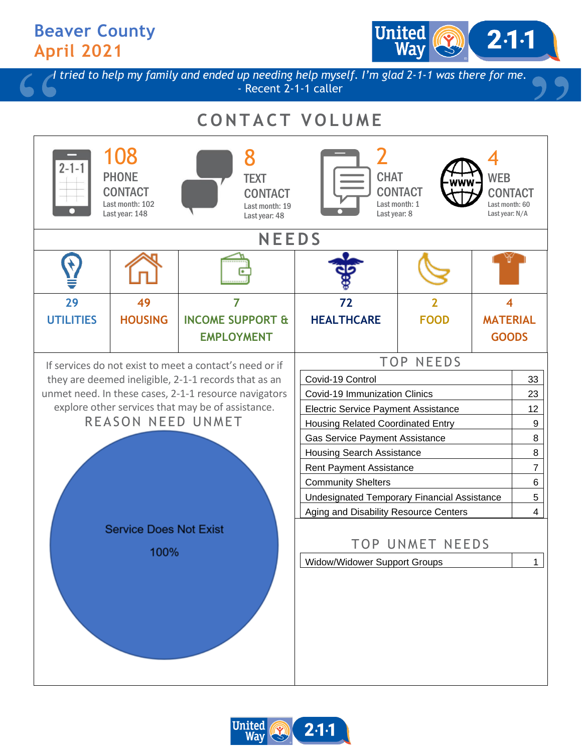## **Beaver County April 2021**

United  $2·1·1$ 

*I tried to help my family and ended up needing help myself. I'm glad 2-1-1 was there for me.* - Recent 2-1-1 caller

## **C O N T A C T V O L U M E**